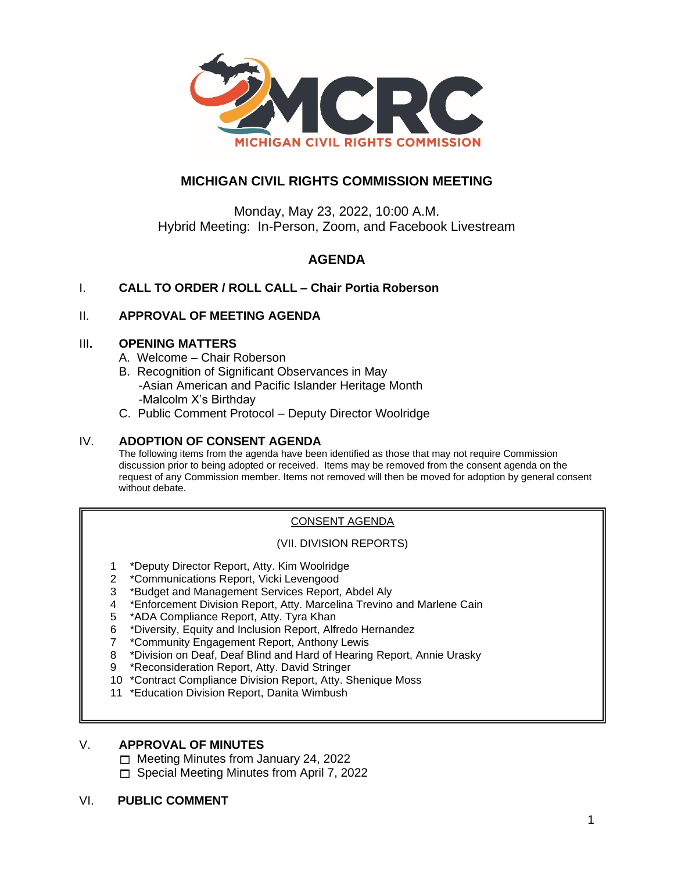

# **MICHIGAN CIVIL RIGHTS COMMISSION MEETING**

Monday, May 23, 2022, 10:00 A.M. Hybrid Meeting: In-Person, Zoom, and Facebook Livestream

# **AGENDA**

# I. **CALL TO ORDER / ROLL CALL – Chair Portia Roberson**

# II. **APPROVAL OF MEETING AGENDA**

### III**. OPENING MATTERS**

- A. Welcome Chair Roberson
- B. Recognition of Significant Observances in May -Asian American and Pacific Islander Heritage Month -Malcolm X's Birthday
- C. Public Comment Protocol Deputy Director Woolridge

# IV. **ADOPTION OF CONSENT AGENDA**

The following items from the agenda have been identified as those that may not require Commission discussion prior to being adopted or received. Items may be removed from the consent agenda on the request of any Commission member. Items not removed will then be moved for adoption by general consent without debate.

# CONSENT AGENDA

#### (VII. DIVISION REPORTS)

- 1 \*Deputy Director Report, Atty. Kim Woolridge
- 2 \*Communications Report, Vicki Levengood
- 3 \*Budget and Management Services Report, Abdel Aly
- 4 \*Enforcement Division Report, Atty. Marcelina Trevino and Marlene Cain
- 5 \*ADA Compliance Report, Atty. Tyra Khan
- 6 \*Diversity, Equity and Inclusion Report, Alfredo Hernandez
- 7 \*Community Engagement Report, Anthony Lewis
- 8 \*Division on Deaf, Deaf Blind and Hard of Hearing Report, Annie Urasky
- 9 \*Reconsideration Report, Atty. David Stringer
- 10 \*Contract Compliance Division Report, Atty. Shenique Moss
- 11 \*Education Division Report, Danita Wimbush

# V. **APPROVAL OF MINUTES**

 $\Box$  Meeting Minutes from January 24, 2022

□ Special Meeting Minutes from April 7, 2022

# VI. **PUBLIC COMMENT**